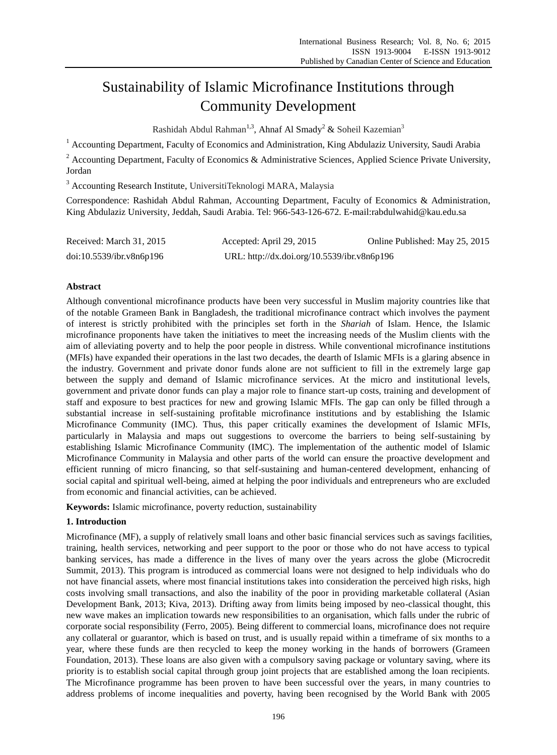# Sustainability of Islamic Microfinance Institutions through Community Development

Rashidah Abdul Rahman<sup>1,3</sup>, Ahnaf Al Smady<sup>2</sup> & Soheil Kazemian<sup>3</sup>

<sup>1</sup> Accounting Department, Faculty of Economics and Administration, King Abdulaziz University, Saudi Arabia

<sup>2</sup> Accounting Department, Faculty of Economics & Administrative Sciences, Applied Science Private University, Jordan

<sup>3</sup> Accounting Research Institute, UniversitiTeknologi MARA, Malaysia

Correspondence: Rashidah Abdul Rahman, Accounting Department, Faculty of Economics & Administration, King Abdulaziz University, Jeddah, Saudi Arabia. Tel: 966-543-126-672. E-mail:rabdulwahid@kau.edu.sa

| Received: March 31, 2015 | Accepted: April 29, 2015                    | Online Published: May 25, 2015 |
|--------------------------|---------------------------------------------|--------------------------------|
| doi:10.5539/ibr.v8n6p196 | URL: http://dx.doi.org/10.5539/ibr.v8n6p196 |                                |

# **Abstract**

Although conventional microfinance products have been very successful in Muslim majority countries like that of the notable Grameen Bank in Bangladesh, the traditional microfinance contract which involves the payment of interest is strictly prohibited with the principles set forth in the *Shariah* of Islam. Hence, the Islamic microfinance proponents have taken the initiatives to meet the increasing needs of the Muslim clients with the aim of alleviating poverty and to help the poor people in distress. While conventional microfinance institutions (MFIs) have expanded their operations in the last two decades, the dearth of Islamic MFIs is a glaring absence in the industry. Government and private donor funds alone are not sufficient to fill in the extremely large gap between the supply and demand of Islamic microfinance services. At the micro and institutional levels, government and private donor funds can play a major role to finance start-up costs, training and development of staff and exposure to best practices for new and growing Islamic MFIs. The gap can only be filled through a substantial increase in self-sustaining profitable microfinance institutions and by establishing the Islamic Microfinance Community (IMC). Thus, this paper critically examines the development of Islamic MFIs, particularly in Malaysia and maps out suggestions to overcome the barriers to being self-sustaining by establishing Islamic Microfinance Community (IMC). The implementation of the authentic model of Islamic Microfinance Community in Malaysia and other parts of the world can ensure the proactive development and efficient running of micro financing, so that self-sustaining and human-centered development, enhancing of social capital and spiritual well-being, aimed at helping the poor individuals and entrepreneurs who are excluded from economic and financial activities, can be achieved.

**Keywords:** Islamic microfinance, poverty reduction, sustainability

# **1. Introduction**

Microfinance (MF), a supply of relatively small loans and other basic financial services such as savings facilities, training, health services, networking and peer support to the poor or those who do not have access to typical banking services, has made a difference in the lives of many over the years across the globe (Microcredit Summit, 2013). This program is introduced as commercial loans were not designed to help individuals who do not have financial assets, where most financial institutions takes into consideration the perceived high risks, high costs involving small transactions, and also the inability of the poor in providing marketable collateral (Asian Development Bank, 2013; Kiva, 2013). Drifting away from limits being imposed by neo-classical thought, this new wave makes an implication towards new responsibilities to an organisation, which falls under the rubric of corporate social responsibility (Ferro, 2005). Being different to commercial loans, microfinance does not require any collateral or guarantor, which is based on trust, and is usually repaid within a timeframe of six months to a year, where these funds are then recycled to keep the money working in the hands of borrowers (Grameen Foundation, 2013). These loans are also given with a compulsory saving package or voluntary saving, where its priority is to establish social capital through group joint projects that are established among the loan recipients. The Microfinance programme has been proven to have been successful over the years, in many countries to address problems of income inequalities and poverty, having been recognised by the World Bank with 2005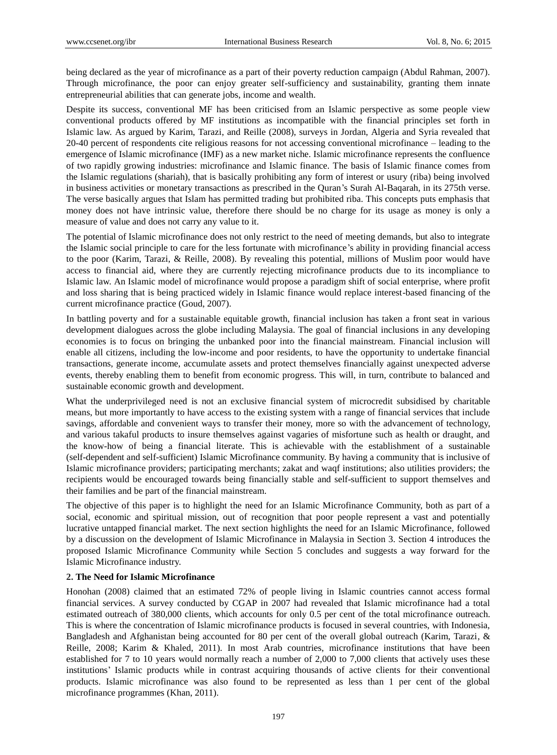being declared as the year of microfinance as a part of their poverty reduction campaign (Abdul Rahman, 2007). Through microfinance, the poor can enjoy greater self-sufficiency and sustainability, granting them innate entrepreneurial abilities that can generate jobs, income and wealth.

Despite its success, conventional MF has been criticised from an Islamic perspective as some people view conventional products offered by MF institutions as incompatible with the financial principles set forth in Islamic law. As argued by Karim, Tarazi, and Reille (2008), surveys in Jordan, Algeria and Syria revealed that 20-40 percent of respondents cite religious reasons for not accessing conventional microfinance – leading to the emergence of Islamic microfinance (IMF) as a new market niche. Islamic microfinance represents the confluence of two rapidly growing industries: microfinance and Islamic finance. The basis of Islamic finance comes from the Islamic regulations (shariah), that is basically prohibiting any form of interest or usury (riba) being involved in business activities or monetary transactions as prescribed in the Quran"s Surah Al-Baqarah, in its 275th verse. The verse basically argues that Islam has permitted trading but prohibited riba. This concepts puts emphasis that money does not have intrinsic value, therefore there should be no charge for its usage as money is only a measure of value and does not carry any value to it.

The potential of Islamic microfinance does not only restrict to the need of meeting demands, but also to integrate the Islamic social principle to care for the less fortunate with microfinance"s ability in providing financial access to the poor (Karim, Tarazi, & Reille, 2008). By revealing this potential, millions of Muslim poor would have access to financial aid, where they are currently rejecting microfinance products due to its incompliance to Islamic law. An Islamic model of microfinance would propose a paradigm shift of social enterprise, where profit and loss sharing that is being practiced widely in Islamic finance would replace interest-based financing of the current microfinance practice (Goud, 2007).

In battling poverty and for a sustainable equitable growth, financial inclusion has taken a front seat in various development dialogues across the globe including Malaysia. The goal of financial inclusions in any developing economies is to focus on bringing the unbanked poor into the financial mainstream. Financial inclusion will enable all citizens, including the low-income and poor residents, to have the opportunity to undertake financial transactions, generate income, accumulate assets and protect themselves financially against unexpected adverse events, thereby enabling them to benefit from economic progress. This will, in turn, contribute to balanced and sustainable economic growth and development.

What the underprivileged need is not an exclusive financial system of microcredit subsidised by charitable means, but more importantly to have access to the existing system with a range of financial services that include savings, affordable and convenient ways to transfer their money, more so with the advancement of technology, and various takaful products to insure themselves against vagaries of misfortune such as health or draught, and the know-how of being a financial literate. This is achievable with the establishment of a sustainable (self-dependent and self-sufficient) Islamic Microfinance community. By having a community that is inclusive of Islamic microfinance providers; participating merchants; zakat and waqf institutions; also utilities providers; the recipients would be encouraged towards being financially stable and self-sufficient to support themselves and their families and be part of the financial mainstream.

The objective of this paper is to highlight the need for an Islamic Microfinance Community, both as part of a social, economic and spiritual mission, out of recognition that poor people represent a vast and potentially lucrative untapped financial market. The next section highlights the need for an Islamic Microfinance, followed by a discussion on the development of Islamic Microfinance in Malaysia in Section 3. Section 4 introduces the proposed Islamic Microfinance Community while Section 5 concludes and suggests a way forward for the Islamic Microfinance industry.

## **2. The Need for Islamic Microfinance**

Honohan (2008) claimed that an estimated 72% of people living in Islamic countries cannot access formal financial services. A survey conducted by CGAP in 2007 had revealed that Islamic microfinance had a total estimated outreach of 380,000 clients, which accounts for only 0.5 per cent of the total microfinance outreach. This is where the concentration of Islamic microfinance products is focused in several countries, with Indonesia, Bangladesh and Afghanistan being accounted for 80 per cent of the overall global outreach (Karim, Tarazi, & Reille, 2008; Karim & Khaled, 2011). In most Arab countries, microfinance institutions that have been established for 7 to 10 years would normally reach a number of 2,000 to 7,000 clients that actively uses these institutions" Islamic products while in contrast acquiring thousands of active clients for their conventional products. Islamic microfinance was also found to be represented as less than 1 per cent of the global microfinance programmes (Khan, 2011).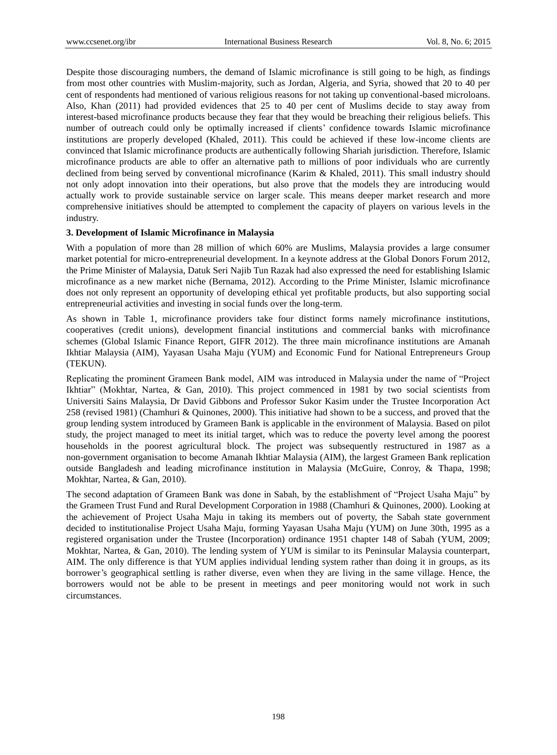Despite those discouraging numbers, the demand of Islamic microfinance is still going to be high, as findings from most other countries with Muslim-majority, such as Jordan, Algeria, and Syria, showed that 20 to 40 per cent of respondents had mentioned of various religious reasons for not taking up conventional-based microloans. Also, Khan (2011) had provided evidences that 25 to 40 per cent of Muslims decide to stay away from interest-based microfinance products because they fear that they would be breaching their religious beliefs. This number of outreach could only be optimally increased if clients" confidence towards Islamic microfinance institutions are properly developed (Khaled, 2011). This could be achieved if these low-income clients are convinced that Islamic microfinance products are authentically following Shariah jurisdiction. Therefore, Islamic microfinance products are able to offer an alternative path to millions of poor individuals who are currently declined from being served by conventional microfinance (Karim & Khaled, 2011). This small industry should not only adopt innovation into their operations, but also prove that the models they are introducing would actually work to provide sustainable service on larger scale. This means deeper market research and more comprehensive initiatives should be attempted to complement the capacity of players on various levels in the industry.

# **3. Development of Islamic Microfinance in Malaysia**

With a population of more than 28 million of which 60% are Muslims, Malaysia provides a large consumer market potential for micro-entrepreneurial development. In a keynote address at the Global Donors Forum 2012, the Prime Minister of Malaysia, Datuk Seri Najib Tun Razak had also expressed the need for establishing Islamic microfinance as a new market niche (Bernama, 2012). According to the Prime Minister, Islamic microfinance does not only represent an opportunity of developing ethical yet profitable products, but also supporting social entrepreneurial activities and investing in social funds over the long-term.

As shown in Table 1, microfinance providers take four distinct forms namely microfinance institutions, cooperatives (credit unions), development financial institutions and commercial banks with microfinance schemes (Global Islamic Finance Report, GIFR 2012). The three main microfinance institutions are Amanah Ikhtiar Malaysia (AIM), Yayasan Usaha Maju (YUM) and Economic Fund for National Entrepreneurs Group (TEKUN).

Replicating the prominent Grameen Bank model, AIM was introduced in Malaysia under the name of "Project Ikhtiar" (Mokhtar, Nartea, & Gan, 2010). This project commenced in 1981 by two social scientists from Universiti Sains Malaysia, Dr David Gibbons and Professor Sukor Kasim under the Trustee Incorporation Act 258 (revised 1981) (Chamhuri & Quinones, 2000). This initiative had shown to be a success, and proved that the group lending system introduced by Grameen Bank is applicable in the environment of Malaysia. Based on pilot study, the project managed to meet its initial target, which was to reduce the poverty level among the poorest households in the poorest agricultural block. The project was subsequently restructured in 1987 as a non-government organisation to become Amanah Ikhtiar Malaysia (AIM), the largest Grameen Bank replication outside Bangladesh and leading microfinance institution in Malaysia (McGuire, Conroy, & Thapa, 1998; Mokhtar, Nartea, & Gan, 2010).

The second adaptation of Grameen Bank was done in Sabah, by the establishment of "Project Usaha Maju" by the Grameen Trust Fund and Rural Development Corporation in 1988 (Chamhuri & Quinones, 2000). Looking at the achievement of Project Usaha Maju in taking its members out of poverty, the Sabah state government decided to institutionalise Project Usaha Maju, forming Yayasan Usaha Maju (YUM) on June 30th, 1995 as a registered organisation under the Trustee (Incorporation) ordinance 1951 chapter 148 of Sabah (YUM, 2009; Mokhtar, Nartea, & Gan, 2010). The lending system of YUM is similar to its Peninsular Malaysia counterpart, AIM. The only difference is that YUM applies individual lending system rather than doing it in groups, as its borrower"s geographical settling is rather diverse, even when they are living in the same village. Hence, the borrowers would not be able to be present in meetings and peer monitoring would not work in such circumstances.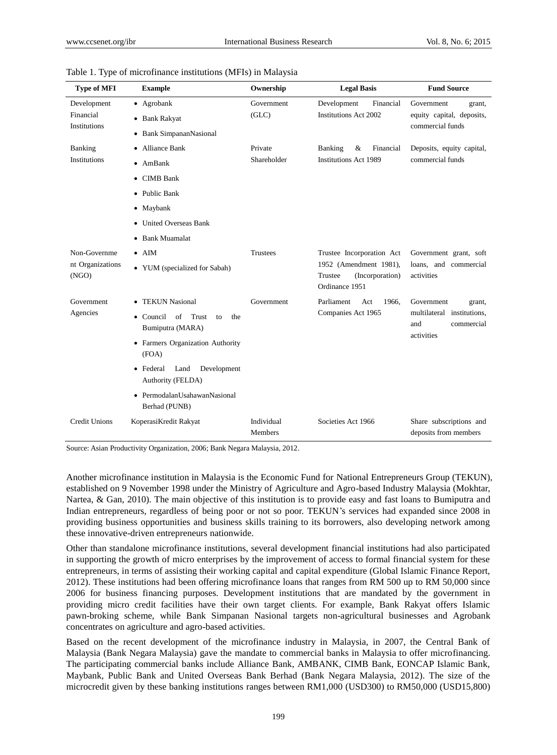| <b>Type of MFI</b>                        | <b>Example</b>                                                                                                                                                                                                                       | Ownership              | <b>Legal Basis</b>                                                                                  | <b>Fund Source</b>                                                                    |
|-------------------------------------------|--------------------------------------------------------------------------------------------------------------------------------------------------------------------------------------------------------------------------------------|------------------------|-----------------------------------------------------------------------------------------------------|---------------------------------------------------------------------------------------|
| Development<br>Financial<br>Institutions  | • Agrobank<br><b>Bank Rakyat</b><br>٠<br>• Bank SimpananNasional                                                                                                                                                                     | Government<br>(GLC)    | Development<br>Financial<br><b>Institutions Act 2002</b>                                            | Government<br>grant,<br>equity capital, deposits,<br>commercial funds                 |
| <b>Banking</b><br><b>Institutions</b>     | • Alliance Bank<br>$\bullet$ AmBank<br><b>CIMB</b> Bank<br>٠<br>• Public Bank<br>• Maybank<br><b>United Overseas Bank</b><br>٠<br>• Bank Muamalat                                                                                    | Private<br>Shareholder | Financial<br>Banking<br>&<br><b>Institutions Act 1989</b>                                           | Deposits, equity capital,<br>commercial funds                                         |
| Non-Governme<br>nt Organizations<br>(NGO) | $\bullet$ AIM<br>• YUM (specialized for Sabah)                                                                                                                                                                                       | <b>Trustees</b>        | Trustee Incorporation Act<br>1952 (Amendment 1981),<br>Trustee<br>(Incorporation)<br>Ordinance 1951 | Government grant, soft<br>loans, and commercial<br>activities                         |
| Government<br>Agencies                    | • TEKUN Nasional<br>• Council<br>of<br>Trust<br>the<br>to<br>Bumiputra (MARA)<br>• Farmers Organization Authority<br>(FOA)<br>• Federal<br>Land<br>Development<br>Authority (FELDA)<br>• PermodalanUsahawanNasional<br>Berhad (PUNB) | Government             | Parliament<br>Act<br>1966.<br>Companies Act 1965                                                    | Government<br>grant,<br>multilateral institutions,<br>and<br>commercial<br>activities |
| <b>Credit Unions</b>                      | KoperasiKredit Rakyat                                                                                                                                                                                                                | Individual<br>Members  | Societies Act 1966                                                                                  | Share subscriptions and<br>deposits from members                                      |

Table 1. Type of microfinance institutions (MFIs) in Malaysia

Source: Asian Productivity Organization, 2006; Bank Negara Malaysia, 2012.

Another microfinance institution in Malaysia is the Economic Fund for National Entrepreneurs Group (TEKUN), established on 9 November 1998 under the Ministry of Agriculture and Agro-based Industry Malaysia (Mokhtar, Nartea, & Gan, 2010). The main objective of this institution is to provide easy and fast loans to Bumiputra and Indian entrepreneurs, regardless of being poor or not so poor. TEKUN"s services had expanded since 2008 in providing business opportunities and business skills training to its borrowers, also developing network among these innovative-driven entrepreneurs nationwide.

Other than standalone microfinance institutions, several development financial institutions had also participated in supporting the growth of micro enterprises by the improvement of access to formal financial system for these entrepreneurs, in terms of assisting their working capital and capital expenditure (Global Islamic Finance Report, 2012). These institutions had been offering microfinance loans that ranges from RM 500 up to RM 50,000 since 2006 for business financing purposes. Development institutions that are mandated by the government in providing micro credit facilities have their own target clients. For example, Bank Rakyat offers Islamic pawn-broking scheme, while Bank Simpanan Nasional targets non-agricultural businesses and Agrobank concentrates on agriculture and agro-based activities.

Based on the recent development of the microfinance industry in Malaysia, in 2007, the Central Bank of Malaysia (Bank Negara Malaysia) gave the mandate to commercial banks in Malaysia to offer microfinancing. The participating commercial banks include Alliance Bank, AMBANK, CIMB Bank, EONCAP Islamic Bank, Maybank, Public Bank and United Overseas Bank Berhad (Bank Negara Malaysia, 2012). The size of the microcredit given by these banking institutions ranges between RM1,000 (USD300) to RM50,000 (USD15,800)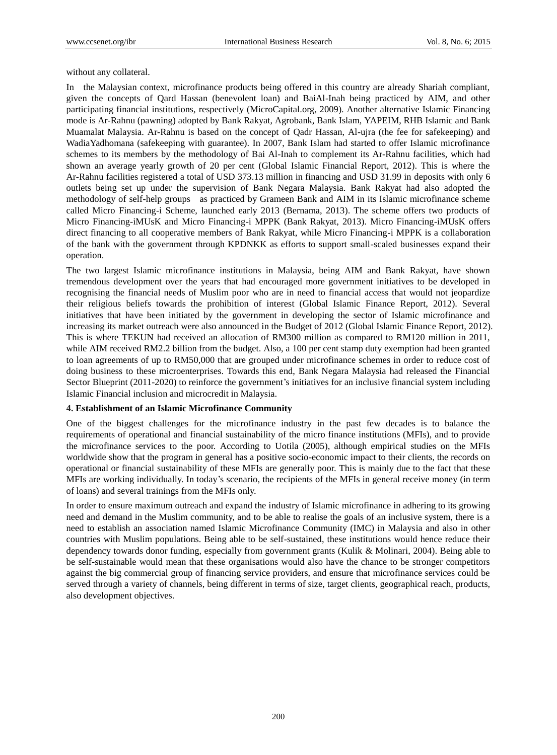without any collateral.

In the Malaysian context, microfinance products being offered in this country are already Shariah compliant, given the concepts of Qard Hassan (benevolent loan) and BaiAl-Inah being practiced by AIM, and other participating financial institutions, respectively (MicroCapital.org, 2009). Another alternative Islamic Financing mode is Ar-Rahnu (pawning) adopted by Bank Rakyat, Agrobank, Bank Islam, YAPEIM, RHB Islamic and Bank Muamalat Malaysia. Ar-Rahnu is based on the concept of Qadr Hassan, Al-ujra (the fee for safekeeping) and WadiaYadhomana (safekeeping with guarantee). In 2007, Bank Islam had started to offer Islamic microfinance schemes to its members by the methodology of Bai Al-Inah to complement its Ar-Rahnu facilities, which had shown an average yearly growth of 20 per cent (Global Islamic Financial Report, 2012). This is where the Ar-Rahnu facilities registered a total of USD 373.13 million in financing and USD 31.99 in deposits with only 6 outlets being set up under the supervision of Bank Negara Malaysia. Bank Rakyat had also adopted the methodology of self-help groups as practiced by Grameen Bank and AIM in its Islamic microfinance scheme called Micro Financing-i Scheme, launched early 2013 (Bernama, 2013). The scheme offers two products of Micro Financing-iMUsK and Micro Financing-i MPPK (Bank Rakyat, 2013). Micro Financing-iMUsK offers direct financing to all cooperative members of Bank Rakyat, while Micro Financing-i MPPK is a collaboration of the bank with the government through KPDNKK as efforts to support small-scaled businesses expand their operation.

The two largest Islamic microfinance institutions in Malaysia, being AIM and Bank Rakyat, have shown tremendous development over the years that had encouraged more government initiatives to be developed in recognising the financial needs of Muslim poor who are in need to financial access that would not jeopardize their religious beliefs towards the prohibition of interest (Global Islamic Finance Report, 2012). Several initiatives that have been initiated by the government in developing the sector of Islamic microfinance and increasing its market outreach were also announced in the Budget of 2012 (Global Islamic Finance Report, 2012). This is where TEKUN had received an allocation of RM300 million as compared to RM120 million in 2011, while AIM received RM2.2 billion from the budget. Also, a 100 per cent stamp duty exemption had been granted to loan agreements of up to RM50,000 that are grouped under microfinance schemes in order to reduce cost of doing business to these microenterprises. Towards this end, Bank Negara Malaysia had released the Financial Sector Blueprint (2011-2020) to reinforce the government's initiatives for an inclusive financial system including Islamic Financial inclusion and microcredit in Malaysia.

#### **4. Establishment of an Islamic Microfinance Community**

One of the biggest challenges for the microfinance industry in the past few decades is to balance the requirements of operational and financial sustainability of the micro finance institutions (MFIs), and to provide the microfinance services to the poor. According to Uotila (2005), although empirical studies on the MFIs worldwide show that the program in general has a positive socio-economic impact to their clients, the records on operational or financial sustainability of these MFIs are generally poor. This is mainly due to the fact that these MFIs are working individually. In today"s scenario, the recipients of the MFIs in general receive money (in term of loans) and several trainings from the MFIs only.

In order to ensure maximum outreach and expand the industry of Islamic microfinance in adhering to its growing need and demand in the Muslim community, and to be able to realise the goals of an inclusive system, there is a need to establish an association named Islamic Microfinance Community (IMC) in Malaysia and also in other countries with Muslim populations. Being able to be self-sustained, these institutions would hence reduce their dependency towards donor funding, especially from government grants (Kulik & Molinari, 2004). Being able to be self-sustainable would mean that these organisations would also have the chance to be stronger competitors against the big commercial group of financing service providers, and ensure that microfinance services could be served through a variety of channels, being different in terms of size, target clients, geographical reach, products, also development objectives.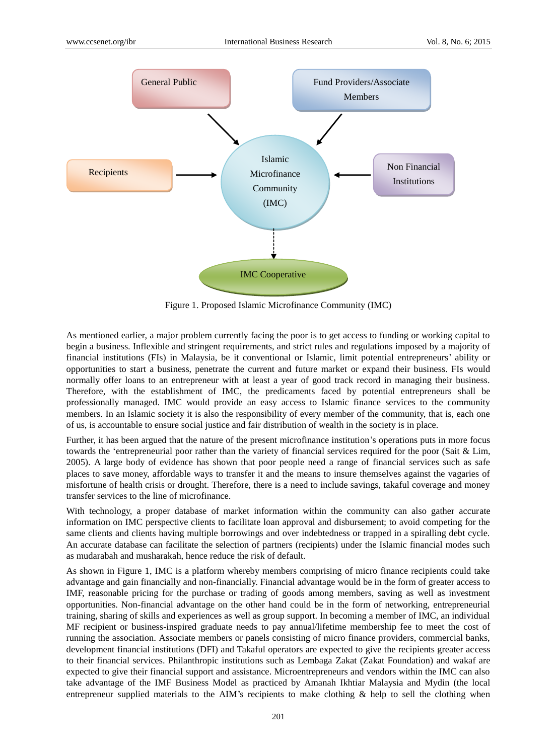

Figure 1. Proposed Islamic Microfinance Community (IMC)

As mentioned earlier, a major problem currently facing the poor is to get access to funding or working capital to begin a business. Inflexible and stringent requirements, and strict rules and regulations imposed by a majority of financial institutions (FIs) in Malaysia, be it conventional or Islamic, limit potential entrepreneurs" ability or opportunities to start a business, penetrate the current and future market or expand their business. FIs would normally offer loans to an entrepreneur with at least a year of good track record in managing their business. Therefore, with the establishment of IMC, the predicaments faced by potential entrepreneurs shall be professionally managed. IMC would provide an easy access to Islamic finance services to the community members. In an Islamic society it is also the responsibility of every member of the community, that is, each one of us, is accountable to ensure social justice and fair distribution of wealth in the society is in place.

Further, it has been argued that the nature of the present microfinance institution"s operations puts in more focus towards the "entrepreneurial poor rather than the variety of financial services required for the poor (Sait & Lim, 2005). A large body of evidence has shown that poor people need a range of financial services such as safe places to save money, affordable ways to transfer it and the means to insure themselves against the vagaries of misfortune of health crisis or drought. Therefore, there is a need to include savings, takaful coverage and money transfer services to the line of microfinance.

With technology, a proper database of market information within the community can also gather accurate information on IMC perspective clients to facilitate loan approval and disbursement; to avoid competing for the same clients and clients having multiple borrowings and over indebtedness or trapped in a spiralling debt cycle. An accurate database can facilitate the selection of partners (recipients) under the Islamic financial modes such as mudarabah and musharakah, hence reduce the risk of default.

As shown in Figure 1, IMC is a platform whereby members comprising of micro finance recipients could take advantage and gain financially and non-financially. Financial advantage would be in the form of greater access to IMF, reasonable pricing for the purchase or trading of goods among members, saving as well as investment opportunities. Non-financial advantage on the other hand could be in the form of networking, entrepreneurial training, sharing of skills and experiences as well as group support. In becoming a member of IMC, an individual MF recipient or business-inspired graduate needs to pay annual/lifetime membership fee to meet the cost of running the association. Associate members or panels consisting of micro finance providers, commercial banks, development financial institutions (DFI) and Takaful operators are expected to give the recipients greater access to their financial services. Philanthropic institutions such as Lembaga Zakat (Zakat Foundation) and wakaf are expected to give their financial support and assistance. Microentrepreneurs and vendors within the IMC can also take advantage of the IMF Business Model as practiced by Amanah Ikhtiar Malaysia and Mydin (the local entrepreneur supplied materials to the AIM's recipients to make clothing & help to sell the clothing when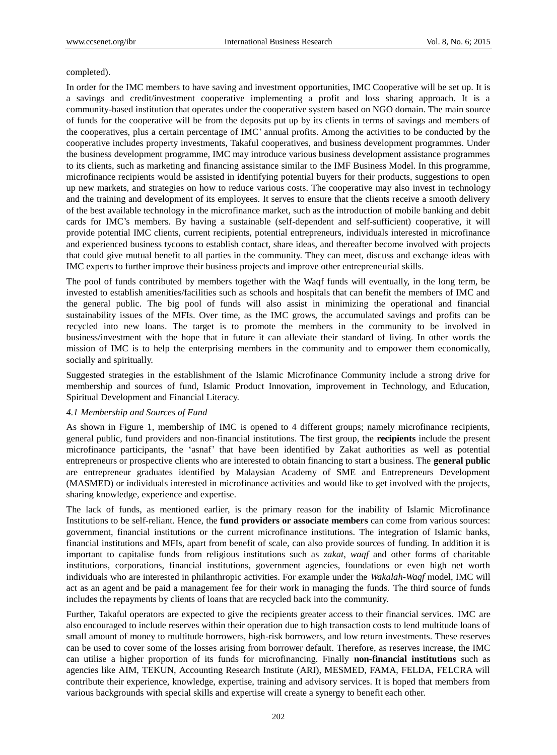#### completed).

In order for the IMC members to have saving and investment opportunities, IMC Cooperative will be set up. It is a savings and credit/investment cooperative implementing a profit and loss sharing approach. It is a community-based institution that operates under the cooperative system based on NGO domain. The main source of funds for the cooperative will be from the deposits put up by its clients in terms of savings and members of the cooperatives, plus a certain percentage of IMC" annual profits. Among the activities to be conducted by the cooperative includes property investments, Takaful cooperatives, and business development programmes. Under the business development programme, IMC may introduce various business development assistance programmes to its clients, such as marketing and financing assistance similar to the IMF Business Model. In this programme, microfinance recipients would be assisted in identifying potential buyers for their products, suggestions to open up new markets, and strategies on how to reduce various costs. The cooperative may also invest in technology and the training and development of its employees. It serves to ensure that the clients receive a smooth delivery of the best available technology in the microfinance market, such as the introduction of mobile banking and debit cards for IMC"s members. By having a sustainable (self-dependent and self-sufficient) cooperative, it will provide potential IMC clients, current recipients, potential entrepreneurs, individuals interested in microfinance and experienced business tycoons to establish contact, share ideas, and thereafter become involved with projects that could give mutual benefit to all parties in the community. They can meet, discuss and exchange ideas with IMC experts to further improve their business projects and improve other entrepreneurial skills.

The pool of funds contributed by members together with the Waqf funds will eventually, in the long term, be invested to establish amenities/facilities such as schools and hospitals that can benefit the members of IMC and the general public. The big pool of funds will also assist in minimizing the operational and financial sustainability issues of the MFIs. Over time, as the IMC grows, the accumulated savings and profits can be recycled into new loans. The target is to promote the members in the community to be involved in business/investment with the hope that in future it can alleviate their standard of living. In other words the mission of IMC is to help the enterprising members in the community and to empower them economically, socially and spiritually.

Suggested strategies in the establishment of the Islamic Microfinance Community include a strong drive for membership and sources of fund, Islamic Product Innovation, improvement in Technology, and Education, Spiritual Development and Financial Literacy.

## *4.1 Membership and Sources of Fund*

As shown in Figure 1, membership of IMC is opened to 4 different groups; namely microfinance recipients, general public, fund providers and non-financial institutions. The first group, the **recipients** include the present microfinance participants, the "asnaf" that have been identified by Zakat authorities as well as potential entrepreneurs or prospective clients who are interested to obtain financing to start a business. The **general public** are entrepreneur graduates identified by Malaysian Academy of SME and Entrepreneurs Development (MASMED) or individuals interested in microfinance activities and would like to get involved with the projects, sharing knowledge, experience and expertise.

The lack of funds, as mentioned earlier, is the primary reason for the inability of Islamic Microfinance Institutions to be self-reliant. Hence, the **fund providers or associate members** can come from various sources: government, financial institutions or the current microfinance institutions. The integration of Islamic banks, financial institutions and MFIs, apart from benefit of scale, can also provide sources of funding. In addition it is important to capitalise funds from religious institutions such as *zakat*, *waqf* and other forms of charitable institutions, corporations, financial institutions, government agencies, foundations or even high net worth individuals who are interested in philanthropic activities. For example under the *Wakalah-Waqf* model, IMC will act as an agent and be paid a management fee for their work in managing the funds. The third source of funds includes the repayments by clients of loans that are recycled back into the community.

Further, Takaful operators are expected to give the recipients greater access to their financial services. IMC are also encouraged to include reserves within their operation due to high transaction costs to lend multitude loans of small amount of money to multitude borrowers, high-risk borrowers, and low return investments. These reserves can be used to cover some of the losses arising from borrower default. Therefore, as reserves increase, the IMC can utilise a higher proportion of its funds for microfinancing. Finally **non-financial institutions** such as agencies like AIM, TEKUN, Accounting Research Institute (ARI), MESMED, FAMA, FELDA, FELCRA will contribute their experience, knowledge, expertise, training and advisory services. It is hoped that members from various backgrounds with special skills and expertise will create a synergy to benefit each other.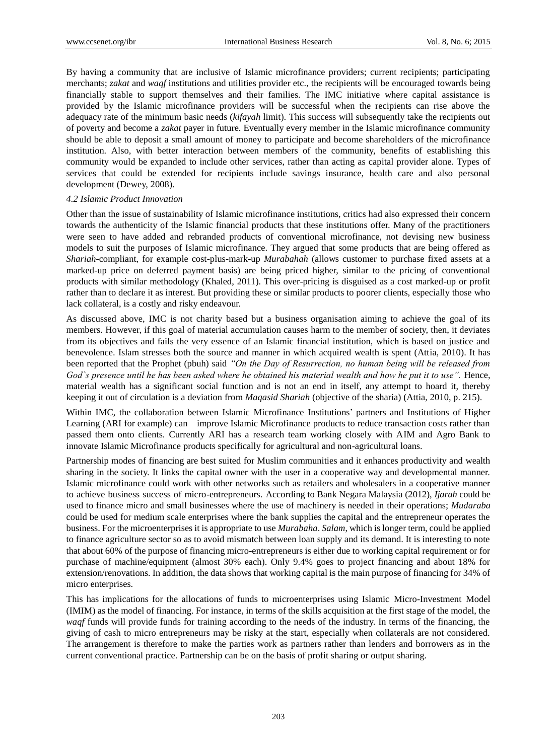By having a community that are inclusive of Islamic microfinance providers; current recipients; participating merchants; *zakat* and *waqf* institutions and utilities provider etc., the recipients will be encouraged towards being financially stable to support themselves and their families. The IMC initiative where capital assistance is provided by the Islamic microfinance providers will be successful when the recipients can rise above the adequacy rate of the minimum basic needs (*kifayah* limit). This success will subsequently take the recipients out of poverty and become a *zakat* payer in future. Eventually every member in the Islamic microfinance community should be able to deposit a small amount of money to participate and become shareholders of the microfinance institution. Also, with better interaction between members of the community, benefits of establishing this community would be expanded to include other services, rather than acting as capital provider alone. Types of services that could be extended for recipients include savings insurance, health care and also personal development (Dewey, 2008).

## *4.2 Islamic Product Innovation*

Other than the issue of sustainability of Islamic microfinance institutions, critics had also expressed their concern towards the authenticity of the Islamic financial products that these institutions offer. Many of the practitioners were seen to have added and rebranded products of conventional microfinance, not devising new business models to suit the purposes of Islamic microfinance. They argued that some products that are being offered as *Shariah*-compliant, for example cost-plus-mark-up *Murabahah* (allows customer to purchase fixed assets at a marked-up price on deferred payment basis) are being priced higher, similar to the pricing of conventional products with similar methodology (Khaled, 2011). This over-pricing is disguised as a cost marked-up or profit rather than to declare it as interest. But providing these or similar products to poorer clients, especially those who lack collateral, is a costly and risky endeavour.

As discussed above, IMC is not charity based but a business organisation aiming to achieve the goal of its members. However, if this goal of material accumulation causes harm to the member of society, then, it deviates from its objectives and fails the very essence of an Islamic financial institution, which is based on justice and benevolence. Islam stresses both the source and manner in which acquired wealth is spent (Attia, 2010). It has been reported that the Prophet (pbuh) said *"On the Day of Resurrection, no human being will be released from God`s presence until he has been asked where he obtained his material wealth and how he put it to use".* Hence, material wealth has a significant social function and is not an end in itself, any attempt to hoard it, thereby keeping it out of circulation is a deviation from *Maqasid Shariah* (objective of the sharia) (Attia, 2010, p. 215).

Within IMC, the collaboration between Islamic Microfinance Institutions' partners and Institutions of Higher Learning (ARI for example) can improve Islamic Microfinance products to reduce transaction costs rather than passed them onto clients. Currently ARI has a research team working closely with AIM and Agro Bank to innovate Islamic Microfinance products specifically for agricultural and non-agricultural loans.

Partnership modes of financing are best suited for Muslim communities and it enhances productivity and wealth sharing in the society. It links the capital owner with the user in a cooperative way and developmental manner. Islamic microfinance could work with other networks such as retailers and wholesalers in a cooperative manner to achieve business success of micro-entrepreneurs. According to Bank Negara Malaysia (2012), *Ijarah* could be used to finance micro and small businesses where the use of machinery is needed in their operations; *Mudaraba* could be used for medium scale enterprises where the bank supplies the capital and the entrepreneur operates the business. For the microenterprises it is appropriate to use *Murabaha*. *Salam*, which is longer term, could be applied to finance agriculture sector so as to avoid mismatch between loan supply and its demand. It is interesting to note that about 60% of the purpose of financing micro-entrepreneurs is either due to working capital requirement or for purchase of machine/equipment (almost 30% each). Only 9.4% goes to project financing and about 18% for extension/renovations. In addition, the data shows that working capital is the main purpose of financing for 34% of micro enterprises.

This has implications for the allocations of funds to microenterprises using Islamic Micro-Investment Model (IMIM) as the model of financing. For instance, in terms of the skills acquisition at the first stage of the model, the *waqf* funds will provide funds for training according to the needs of the industry. In terms of the financing, the giving of cash to micro entrepreneurs may be risky at the start, especially when collaterals are not considered. The arrangement is therefore to make the parties work as partners rather than lenders and borrowers as in the current conventional practice. Partnership can be on the basis of profit sharing or output sharing.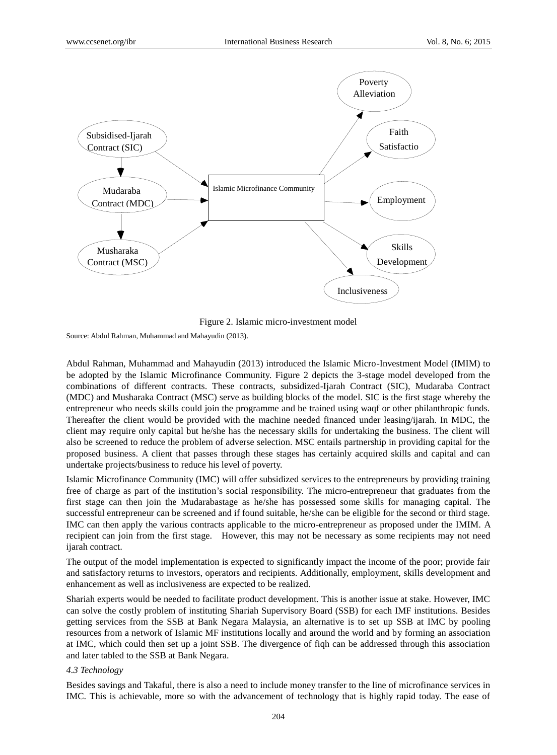

Figure 2. Islamic micro-investment model

Source: Abdul Rahman, Muhammad and Mahayudin (2013).

Abdul Rahman, Muhammad and Mahayudin (2013) introduced the Islamic Micro-Investment Model (IMIM) to be adopted by the Islamic Microfinance Community. Figure 2 depicts the 3-stage model developed from the combinations of different contracts. These contracts, subsidized-Ijarah Contract (SIC), Mudaraba Contract (MDC) and Musharaka Contract (MSC) serve as building blocks of the model. SIC is the first stage whereby the entrepreneur who needs skills could join the programme and be trained using waqf or other philanthropic funds. Thereafter the client would be provided with the machine needed financed under leasing/ijarah. In MDC, the client may require only capital but he/she has the necessary skills for undertaking the business. The client will also be screened to reduce the problem of adverse selection. MSC entails partnership in providing capital for the proposed business. A client that passes through these stages has certainly acquired skills and capital and can undertake projects/business to reduce his level of poverty.

Islamic Microfinance Community (IMC) will offer subsidized services to the entrepreneurs by providing training free of charge as part of the institution"s social responsibility. The micro-entrepreneur that graduates from the first stage can then join the Mudarabastage as he/she has possessed some skills for managing capital. The successful entrepreneur can be screened and if found suitable, he/she can be eligible for the second or third stage. IMC can then apply the various contracts applicable to the micro-entrepreneur as proposed under the IMIM. A recipient can join from the first stage. However, this may not be necessary as some recipients may not need ijarah contract.

The output of the model implementation is expected to significantly impact the income of the poor; provide fair and satisfactory returns to investors, operators and recipients. Additionally, employment, skills development and enhancement as well as inclusiveness are expected to be realized.

Shariah experts would be needed to facilitate product development. This is another issue at stake. However, IMC can solve the costly problem of instituting Shariah Supervisory Board (SSB) for each IMF institutions. Besides getting services from the SSB at Bank Negara Malaysia, an alternative is to set up SSB at IMC by pooling resources from a network of Islamic MF institutions locally and around the world and by forming an association at IMC, which could then set up a joint SSB. The divergence of fiqh can be addressed through this association and later tabled to the SSB at Bank Negara.

# *4.3 Technology*

Besides savings and Takaful, there is also a need to include money transfer to the line of microfinance services in IMC. This is achievable, more so with the advancement of technology that is highly rapid today. The ease of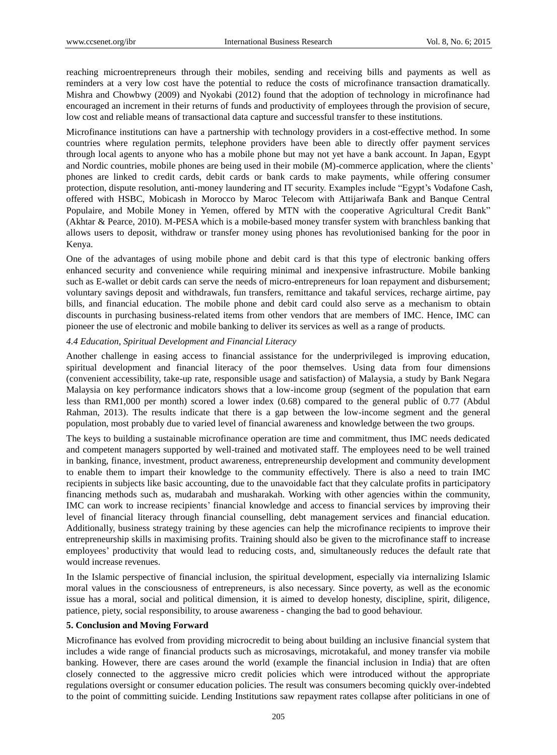reaching microentrepreneurs through their mobiles, sending and receiving bills and payments as well as reminders at a very low cost have the potential to reduce the costs of microfinance transaction dramatically. Mishra and Chowbwy (2009) and Nyokabi (2012) found that the adoption of technology in microfinance had encouraged an increment in their returns of funds and productivity of employees through the provision of secure, low cost and reliable means of transactional data capture and successful transfer to these institutions.

Microfinance institutions can have a partnership with technology providers in a cost-effective method. In some countries where regulation permits, telephone providers have been able to directly offer payment services through local agents to anyone who has a mobile phone but may not yet have a bank account. In Japan, Egypt and Nordic countries, mobile phones are being used in their mobile (M)-commerce application, where the clients" phones are linked to credit cards, debit cards or bank cards to make payments, while offering consumer protection, dispute resolution, anti-money laundering and IT security. Examples include "Egypt"s Vodafone Cash, offered with HSBC, Mobicash in Morocco by Maroc Telecom with Attijariwafa Bank and Banque Central Populaire, and Mobile Money in Yemen, offered by MTN with the cooperative Agricultural Credit Bank" (Akhtar & Pearce, 2010). M-PESA which is a mobile-based money transfer system with branchless banking that allows users to deposit, withdraw or transfer money using phones has revolutionised banking for the poor in Kenya.

One of the advantages of using mobile phone and debit card is that this type of electronic banking offers enhanced security and convenience while requiring minimal and inexpensive infrastructure. Mobile banking such as E-wallet or debit cards can serve the needs of micro-entrepreneurs for loan repayment and disbursement; voluntary savings deposit and withdrawals, fun transfers, remittance and takaful services, recharge airtime, pay bills, and financial education. The mobile phone and debit card could also serve as a mechanism to obtain discounts in purchasing business-related items from other vendors that are members of IMC. Hence, IMC can pioneer the use of electronic and mobile banking to deliver its services as well as a range of products.

#### *4.4 Education, Spiritual Development and Financial Literacy*

Another challenge in easing access to financial assistance for the underprivileged is improving education, spiritual development and financial literacy of the poor themselves. Using data from four dimensions (convenient accessibility, take-up rate, responsible usage and satisfaction) of Malaysia, a study by Bank Negara Malaysia on key performance indicators shows that a low-income group (segment of the population that earn less than RM1,000 per month) scored a lower index (0.68) compared to the general public of 0.77 (Abdul Rahman, 2013). The results indicate that there is a gap between the low-income segment and the general population, most probably due to varied level of financial awareness and knowledge between the two groups.

The keys to building a sustainable microfinance operation are time and commitment, thus IMC needs dedicated and competent managers supported by well-trained and motivated staff. The employees need to be well trained in banking, finance, investment, product awareness, entrepreneurship development and community development to enable them to impart their knowledge to the community effectively. There is also a need to train IMC recipients in subjects like basic accounting, due to the unavoidable fact that they calculate profits in participatory financing methods such as, mudarabah and musharakah. Working with other agencies within the community, IMC can work to increase recipients" financial knowledge and access to financial services by improving their level of financial literacy through financial counselling, debt management services and financial education. Additionally, business strategy training by these agencies can help the microfinance recipients to improve their entrepreneurship skills in maximising profits. Training should also be given to the microfinance staff to increase employees" productivity that would lead to reducing costs, and, simultaneously reduces the default rate that would increase revenues.

In the Islamic perspective of financial inclusion, the spiritual development, especially via internalizing Islamic moral values in the consciousness of entrepreneurs, is also necessary. Since poverty, as well as the economic issue has a moral, social and political dimension, it is aimed to develop honesty, discipline, spirit, diligence, patience, piety, social responsibility, to arouse awareness - changing the bad to good behaviour.

#### **5. Conclusion and Moving Forward**

Microfinance has evolved from providing microcredit to being about building an inclusive financial system that includes a wide range of financial products such as microsavings, microtakaful, and money transfer via mobile banking. However, there are cases around the world (example the financial inclusion in India) that are often closely connected to the aggressive micro credit policies which were introduced without the appropriate regulations oversight or consumer education policies. The result was consumers becoming quickly over-indebted to the point of committing suicide. Lending Institutions saw repayment rates collapse after politicians in one of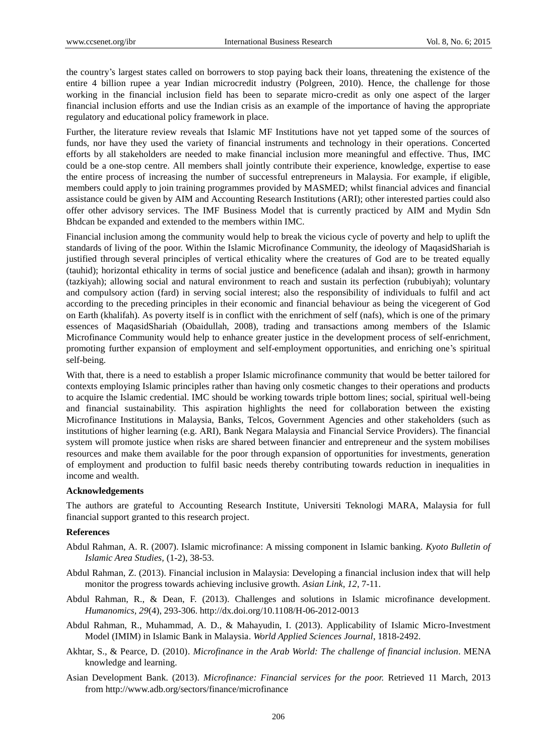the country"s largest states called on borrowers to stop paying back their loans, threatening the existence of the entire 4 billion rupee a year Indian microcredit industry (Polgreen, 2010). Hence, the challenge for those working in the financial inclusion field has been to separate micro-credit as only one aspect of the larger financial inclusion efforts and use the Indian crisis as an example of the importance of having the appropriate regulatory and educational policy framework in place.

Further, the literature review reveals that Islamic MF Institutions have not yet tapped some of the sources of funds, nor have they used the variety of financial instruments and technology in their operations. Concerted efforts by all stakeholders are needed to make financial inclusion more meaningful and effective. Thus, IMC could be a one-stop centre. All members shall jointly contribute their experience, knowledge, expertise to ease the entire process of increasing the number of successful entrepreneurs in Malaysia. For example, if eligible, members could apply to join training programmes provided by MASMED; whilst financial advices and financial assistance could be given by AIM and Accounting Research Institutions (ARI); other interested parties could also offer other advisory services. The IMF Business Model that is currently practiced by AIM and Mydin Sdn Bhdcan be expanded and extended to the members within IMC.

Financial inclusion among the community would help to break the vicious cycle of poverty and help to uplift the standards of living of the poor. Within the Islamic Microfinance Community, the ideology of MaqasidShariah is justified through several principles of vertical ethicality where the creatures of God are to be treated equally (tauhid); horizontal ethicality in terms of social justice and beneficence (adalah and ihsan); growth in harmony (tazkiyah); allowing social and natural environment to reach and sustain its perfection (rububiyah); voluntary and compulsory action (fard) in serving social interest; also the responsibility of individuals to fulfil and act according to the preceding principles in their economic and financial behaviour as being the vicegerent of God on Earth (khalifah). As poverty itself is in conflict with the enrichment of self (nafs), which is one of the primary essences of MaqasidShariah (Obaidullah, 2008), trading and transactions among members of the Islamic Microfinance Community would help to enhance greater justice in the development process of self-enrichment, promoting further expansion of employment and self-employment opportunities, and enriching one"s spiritual self-being.

With that, there is a need to establish a proper Islamic microfinance community that would be better tailored for contexts employing Islamic principles rather than having only cosmetic changes to their operations and products to acquire the Islamic credential. IMC should be working towards triple bottom lines; social, spiritual well-being and financial sustainability. This aspiration highlights the need for collaboration between the existing Microfinance Institutions in Malaysia, Banks, Telcos, Government Agencies and other stakeholders (such as institutions of higher learning (e.g. ARI), Bank Negara Malaysia and Financial Service Providers). The financial system will promote justice when risks are shared between financier and entrepreneur and the system mobilises resources and make them available for the poor through expansion of opportunities for investments, generation of employment and production to fulfil basic needs thereby contributing towards reduction in inequalities in income and wealth.

## **Acknowledgements**

The authors are grateful to Accounting Research Institute, Universiti Teknologi MARA, Malaysia for full financial support granted to this research project.

## **References**

- Abdul Rahman, A. R. (2007). Islamic microfinance: A missing component in Islamic banking. *Kyoto Bulletin of Islamic Area Studies,* (1-2), 38-53.
- Abdul Rahman, Z. (2013). Financial inclusion in Malaysia: Developing a financial inclusion index that will help monitor the progress towards achieving inclusive growth. *Asian Link, 12*, 7-11.
- Abdul Rahman, R., & Dean, F. (2013). Challenges and solutions in Islamic microfinance development. *Humanomics, 29*(4), 293-306. http://dx.doi.org/10.1108/H-06-2012-0013
- Abdul Rahman, R., Muhammad, A. D., & Mahayudin, I. (2013). Applicability of Islamic Micro-Investment Model (IMIM) in Islamic Bank in Malaysia. *World Applied Sciences Journal*, 1818-2492.
- Akhtar, S., & Pearce, D. (2010). *Microfinance in the Arab World: The challenge of financial inclusion*. MENA knowledge and learning.
- Asian Development Bank. (2013). *Microfinance: Financial services for the poor.* Retrieved 11 March, 2013 from http://www.adb.org/sectors/finance/microfinance